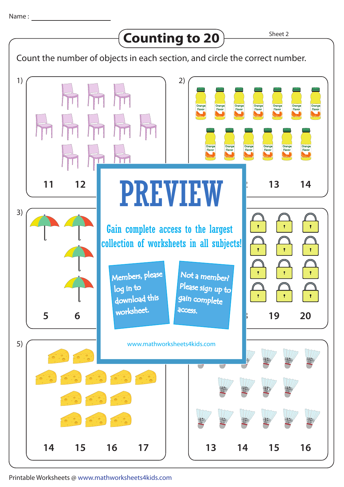## Counting to 20